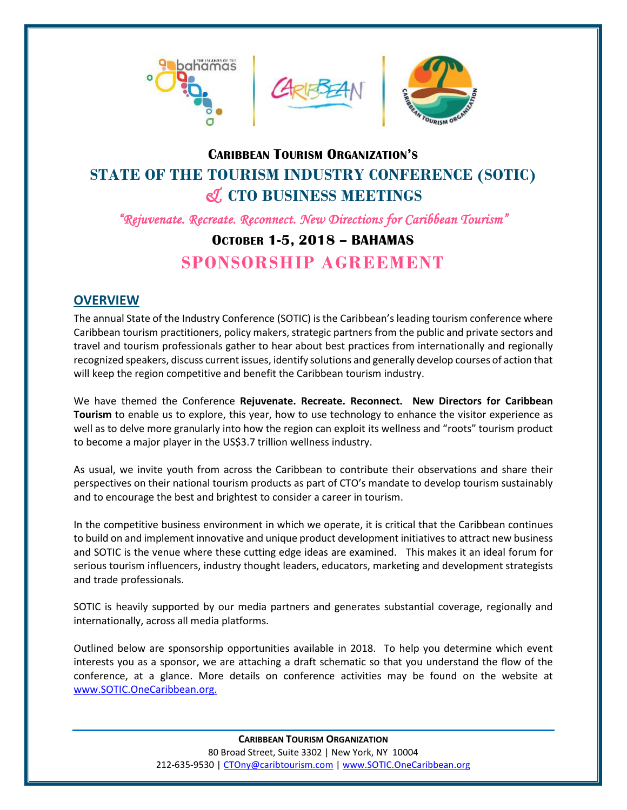





# **CARIBBEAN TOURISM ORGANIZATION'S STATE OF THE TOURISM INDUSTRY CONFERENCE (SOTIC)** *&* **CTO BUSINESS MEETINGS**

*"Rejuvenate. Recreate. Reconnect. New Directions for Caribbean Tourism"* 

# **OCTOBER 1-5, 2018 – BAHAMAS**

**SPONSORSHIP AGREEMENT**

## **OVERVIEW**

The annual State of the Industry Conference (SOTIC) is the Caribbean's leading tourism conference where Caribbean tourism practitioners, policy makers, strategic partners from the public and private sectors and travel and tourism professionals gather to hear about best practices from internationally and regionally recognized speakers, discuss current issues, identify solutions and generally develop courses of action that will keep the region competitive and benefit the Caribbean tourism industry.

We have themed the Conference **Rejuvenate. Recreate. Reconnect. New Directors for Caribbean Tourism** to enable us to explore, this year, how to use technology to enhance the visitor experience as well as to delve more granularly into how the region can exploit its wellness and "roots" tourism product to become a major player in the US\$3.7 trillion wellness industry.

As usual, we invite youth from across the Caribbean to contribute their observations and share their perspectives on their national tourism products as part of CTO's mandate to develop tourism sustainably and to encourage the best and brightest to consider a career in tourism.

In the competitive business environment in which we operate, it is critical that the Caribbean continues to build on and implement innovative and unique product development initiatives to attract new business and SOTIC is the venue where these cutting edge ideas are examined. This makes it an ideal forum for serious tourism influencers, industry thought leaders, educators, marketing and development strategists and trade professionals.

SOTIC is heavily supported by our media partners and generates substantial coverage, regionally and internationally, across all media platforms.

Outlined below are sponsorship opportunities available in 2018. To help you determine which event interests you as a sponsor, we are attaching a draft schematic so that you understand the flow of the conference, at a glance. More details on conference activities may be found on the website at [www.SOTIC.OneCaribbean.org.](http://www.sotic.onecaribbean.org./)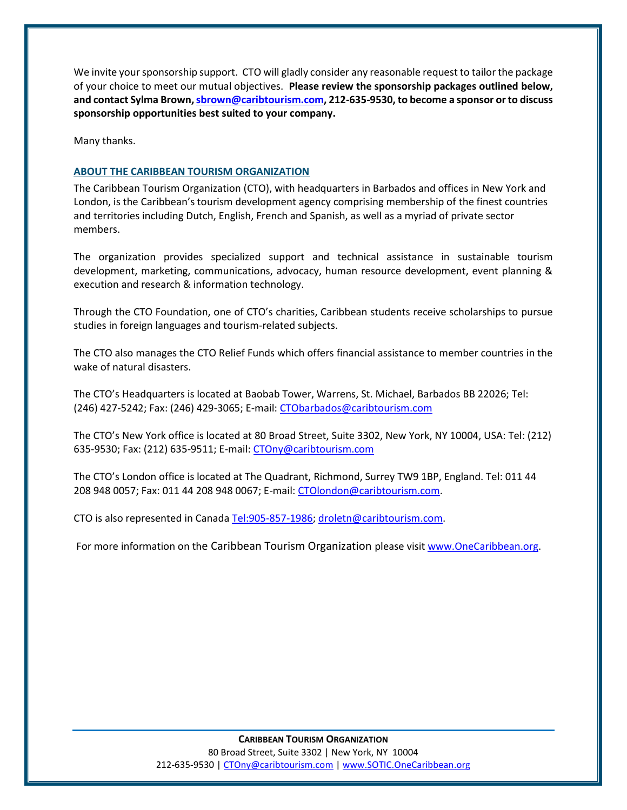We invite your sponsorship support. CTO will gladly consider any reasonable request to tailor the package of your choice to meet our mutual objectives. **Please review the sponsorship packages outlined below, and contact Sylma Brown[, sbrown@caribtourism.com,](mailto:sbrown@caribtourism.com) 212-635-9530, to become a sponsor or to discuss sponsorship opportunities best suited to your company.** 

Many thanks.

#### **ABOUT THE CARIBBEAN TOURISM ORGANIZATION**

The Caribbean Tourism Organization (CTO), with headquarters in Barbados and offices in New York and London, is the Caribbean's tourism development agency comprising membership of the finest countries and territories including Dutch, English, French and Spanish, as well as a myriad of private sector members.

The organization provides specialized support and technical assistance in sustainable tourism development, marketing, communications, advocacy, human resource development, event planning & execution and research & information technology.

Through the CTO Foundation, one of CTO's charities, Caribbean students receive scholarships to pursue studies in foreign languages and tourism-related subjects.

The CTO also manages the CTO Relief Funds which offers financial assistance to member countries in the wake of natural disasters.

The CTO's Headquarters is located at Baobab Tower, Warrens, St. Michael, Barbados BB 22026; Tel: (246) 427-5242; Fax: (246) 429-3065; E-mail: [CTObarbados@caribtourism.com](mailto:CTObarbados@caribtourism.com)

The CTO's New York office is located at 80 Broad Street, Suite 3302, New York, NY 10004, USA: Tel: (212) 635-9530; Fax: (212) 635-9511; E-mail: [CTOny@caribtourism.com](mailto:CTOny@caribtourism.com)

The CTO's London office is located at The Quadrant, Richmond, Surrey TW9 1BP, England. Tel: 011 44 208 948 0057; Fax: 011 44 208 948 0067; E-mail: [CTOlondon@caribtourism.com.](mailto:CTOlondon@caribtourism.com)

CTO is also represented in Canad[a Tel:905-857-1986;](tel:905-857-1986) [droletn@caribtourism.com.](mailto:droletn@caribtourism.com)

For more information on the Caribbean Tourism Organization please visi[t www.OneCaribbean.org.](http://www.onecaribbean.org/)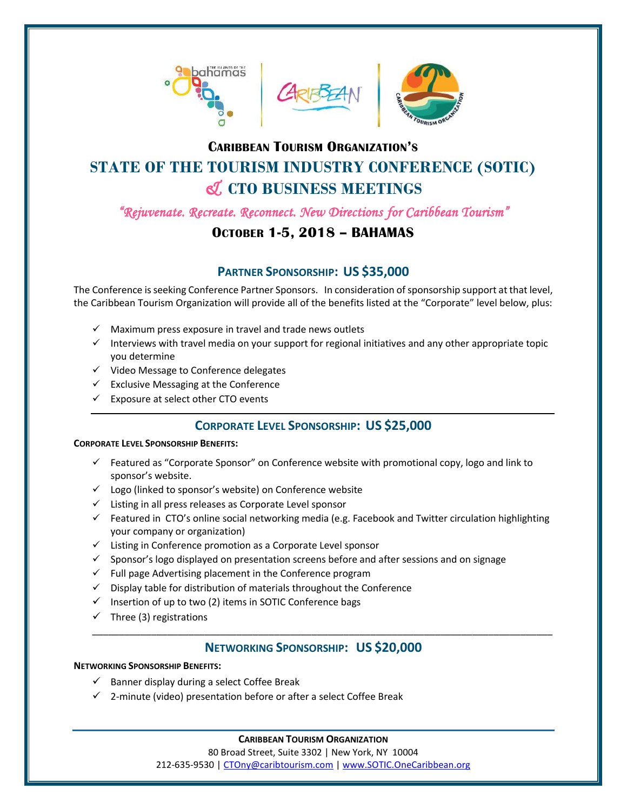





# **CARIBBEAN TOURISM ORGANIZATION'S STATE OF THE TOURISM INDUSTRY CONFERENCE (SOTIC)** *&* **CTO BUSINESS MEETINGS**

*"Rejuvenate. Recreate. Reconnect. New Directions for Caribbean Tourism"* 

## **OCTOBER 1-5, 2018 – BAHAMAS**

## **PARTNER SPONSORSHIP: US \$35,000**

The Conference is seeking Conference Partner Sponsors. In consideration of sponsorship support at that level, the Caribbean Tourism Organization will provide all of the benefits listed at the "Corporate" level below, plus:

- $\checkmark$  Maximum press exposure in travel and trade news outlets
- $\checkmark$  Interviews with travel media on your support for regional initiatives and any other appropriate topic you determine
- ✓ Video Message to Conference delegates
- $\checkmark$  Exclusive Messaging at the Conference
- $\checkmark$  Exposure at select other CTO events

## **CORPORATE LEVEL SPONSORSHIP: US \$25,000**

#### **CORPORATE LEVEL SPONSORSHIP BENEFITS:**

- $\checkmark$  Featured as "Corporate Sponsor" on Conference website with promotional copy, logo and link to sponsor's website.
- ✓ Logo (linked to sponsor's website) on Conference website
- ✓ Listing in all press releases as Corporate Level sponsor
- $\checkmark$  Featured in CTO's online social networking media (e.g. Facebook and Twitter circulation highlighting your company or organization)
- ✓ Listing in Conference promotion as a Corporate Level sponsor
- ✓ Sponsor's logo displayed on presentation screens before and after sessions and on signage
- $\checkmark$  Full page Advertising placement in the Conference program
- $\checkmark$  Display table for distribution of materials throughout the Conference
- $\checkmark$  Insertion of up to two (2) items in SOTIC Conference bags
- $\checkmark$  Three (3) registrations

### **NETWORKING SPONSORSHIP: US \$20,000**

\_\_\_\_\_\_\_\_\_\_\_\_\_\_\_\_\_\_\_\_\_\_\_\_\_\_\_\_\_\_\_\_\_\_\_\_\_\_\_\_\_\_\_\_\_\_\_\_\_\_\_\_\_\_\_\_\_\_\_\_\_\_\_\_\_\_\_\_\_\_\_\_\_\_\_\_\_\_\_\_\_\_\_\_\_\_

### **NETWORKING SPONSORSHIP BENEFITS:**

- $\checkmark$  Banner display during a select Coffee Break
- ✓ 2-minute (video) presentation before or after a select Coffee Break

### **CARIBBEAN TOURISM ORGANIZATION**

80 Broad Street, Suite 3302 | New York, NY 10004

212-635-9530 [| CTOny@caribtourism.com](mailto:CTOny@caribtourism.com) | [www.SOTIC.OneCaribbean.org](http://www.sotic.onecaribbean.org/)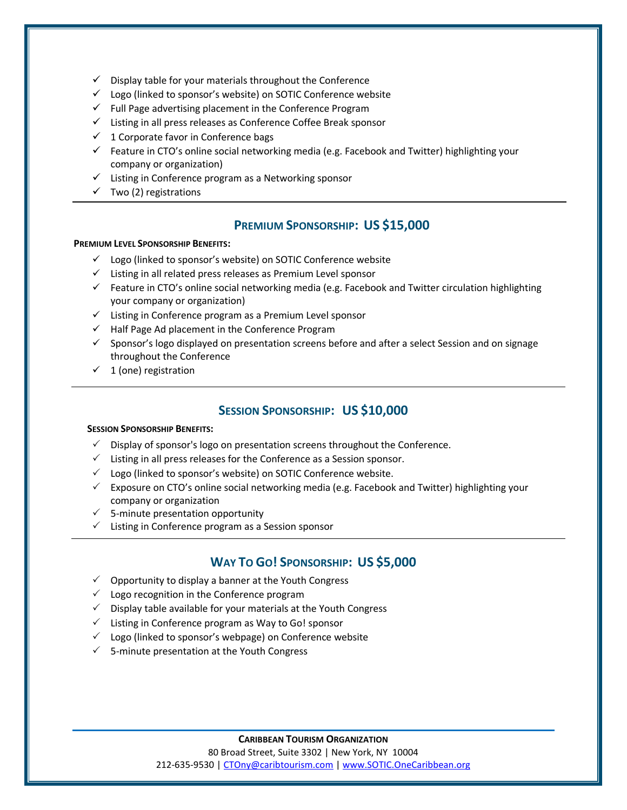- $\checkmark$  Display table for your materials throughout the Conference
- $\checkmark$  Logo (linked to sponsor's website) on SOTIC Conference website
- $\checkmark$  Full Page advertising placement in the Conference Program
- ✓ Listing in all press releases as Conference Coffee Break sponsor
- $\checkmark$  1 Corporate favor in Conference bags
- ✓ Feature in CTO's online social networking media (e.g. Facebook and Twitter) highlighting your company or organization)
- ✓ Listing in Conference program as a Networking sponsor
- $\checkmark$  Two (2) registrations

### **PREMIUM SPONSORSHIP: US \$15,000**

#### **PREMIUM LEVEL SPONSORSHIP BENEFITS:**

- ✓ Logo (linked to sponsor's website) on SOTIC Conference website
- ✓ Listing in all related press releases as Premium Level sponsor
- $\checkmark$  Feature in CTO's online social networking media (e.g. Facebook and Twitter circulation highlighting your company or organization)
- ✓ Listing in Conference program as a Premium Level sponsor
- ✓ Half Page Ad placement in the Conference Program
- ✓ Sponsor's logo displayed on presentation screens before and after a select Session and on signage throughout the Conference
- $\checkmark$  1 (one) registration

#### **SESSION SPONSORSHIP: US \$10,000**

#### **SESSION SPONSORSHIP BENEFITS:**

- $\checkmark$  Display of sponsor's logo on presentation screens throughout the Conference.
- $\checkmark$  Listing in all press releases for the Conference as a Session sponsor.
- $\checkmark$  Logo (linked to sponsor's website) on SOTIC Conference website.
- $\checkmark$  Exposure on CTO's online social networking media (e.g. Facebook and Twitter) highlighting your company or organization
- $\checkmark$  5-minute presentation opportunity
- $\checkmark$  Listing in Conference program as a Session sponsor

#### **WAY TO GO! SPONSORSHIP: US \$5,000**

- $\checkmark$  Opportunity to display a banner at the Youth Congress
- $\checkmark$  Logo recognition in the Conference program
- $\checkmark$  Display table available for your materials at the Youth Congress
- $\checkmark$  Listing in Conference program as Way to Go! sponsor
- $\checkmark$  Logo (linked to sponsor's webpage) on Conference website
- $\checkmark$  5-minute presentation at the Youth Congress

#### **CARIBBEAN TOURISM ORGANIZATION**

80 Broad Street, Suite 3302 | New York, NY 10004

212-635-9530 [| CTOny@caribtourism.com](mailto:CTOny@caribtourism.com) | [www.SOTIC.OneCaribbean.org](http://www.sotic.onecaribbean.org/)